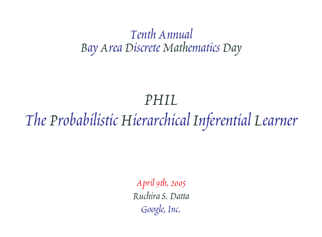#### Tenth Annual Bay Area Discrete Mathematics Day

#### PHIL

The Probabilistic Hierarchical Inferential Learner

April 9th, 2005 Ruchira S. Datta Google, Inc.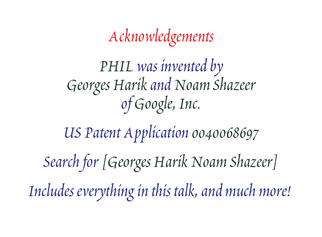Acknowledgements

PHIL was invented by Georges Harik and Noam Shazeer of Google, Inc.

US Patent Application 0040068697

Search for [Georges Harik Noam Shazeer]

Includes everything in this talk, and much more!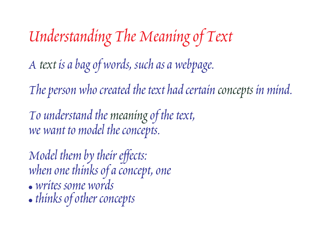Understanding The Meaning of Text

A text is a bag of words, such as a webpage.

The person who created the text had certain concepts in mind.

To understand the meaning of the text, we want to model the concepts.

Model them by their effects: when one thinks of a concept, one

- writes some words
- thinks of other concepts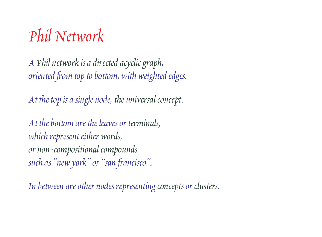## Phil Network

A Phil network is a directed acyclic graph, oriented from top to bottom, with weighted edges.

At the top is a single node, the universal concept.

At the bottom are the leaves or terminals, which represent either words, or non-compositional compounds such as "new york" or "san francisco".

In between are other nodes representing concepts or clusters.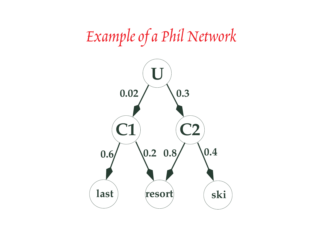## Example of a Phil Network

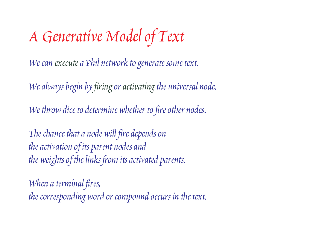## A Generative Model of Text

We can execute a Phil network to generate some text.

We always begin by firing or activating the universal node.

We throw dice to determine whether to fire other nodes.

The chance that a node will fire depends on the activation of its parent nodes and the weights of the links from its activated parents.

When a terminal fires, the corresponding word or compound occurs in the text.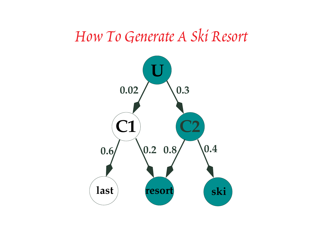#### How To Generate A Ski Resort

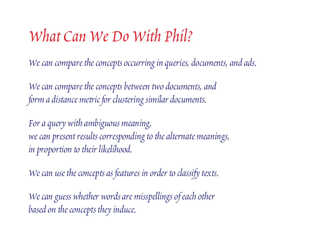#### What Can We Do With Phil?

We can compare the concepts occurring in queries, documents, and ads.

We can compare the concepts between two documents, and form a distance metric for clustering similar documents.

For a query with ambiguous meaning, we can present results corresponding to the alternate meanings, in proportion to their likelihood.

We can use the concepts as features in order to classify texts.

We can guess whether words are misspellings of each other based on the concepts they induce.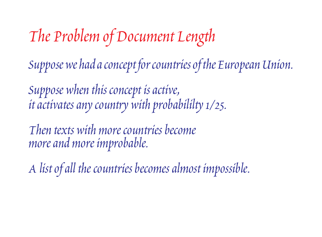## The Problem of Document Length

Suppose we had a concept for countries of the European Union.

Suppose when this concept is active, it activates any country with probabililty 1/25.

Then texts with more countries become more and more improbable.

A list of all the countries becomes almost impossible.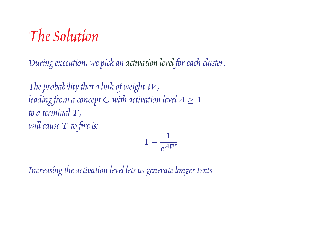#### The Solution

During execution, we pick an activation level for each cluster.

The probability that a link of weight  $W$ , leading from a concept C with activation level  $A \geq 1$ to a terminal T, will cause  $T$  to fire is:

$$
1-\frac{1}{e^{AW}}
$$

Increasing the activation level lets us generate longer texts.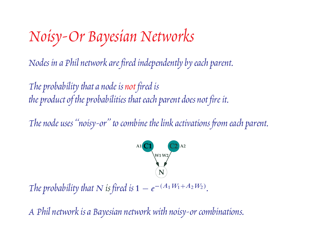#### Noisy-Or Bayesian Networks

Nodes in a Phil network are fired independently by each parent.

The probability that a node is not fired is the product of the probabilities that each parent does not fire it.

The node uses "noisy-or" to combine the link activations from each parent.



The probability that N is fired is  $1 - e^{-(A_1 W_1 + A_2 W_2)}$ .

A Phil network is a Bayesian network with noisy-or combinations.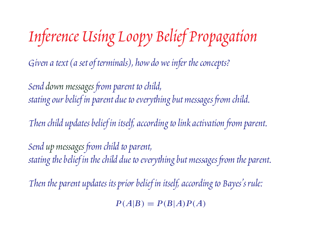# Inference Using Loopy Belief Propagation

Given a text (a set of terminals), how do we infer the concepts?

Send down messages from parent to child, stating our belief in parent due to everything but messages from child.

Then child updates belief in itself, according to link activation from parent.

Send up messages from child to parent, stating the belief in the child due to everything but messages from the parent.

Then the parent updates its prior belief in itself, according to Bayes's rule:

 $P(A|B) = P(B|A)P(A)$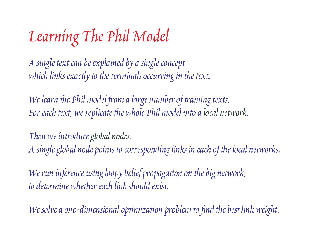## Learning The Phil Model

A single text can be explained by a single concept which links exactly to the terminals occurring in the text.

We learn the Phil model from a large number of training texts. For each text, we replicate the whole Phil model into a local network.

Then we introduce global nodes. A single global node points to corresponding links in each of the local networks.

We run inference using loopy belief propagation on the big network, to determine whether each link should exist.

We solve a one-dimensional optimization problem to find the best link weight.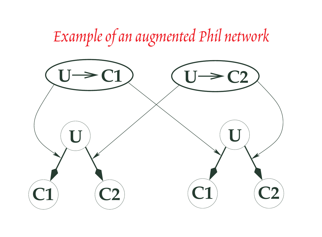## Example of an augmented Phil network

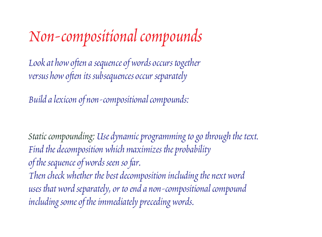### Non-compositional compounds

Look at how often a sequence of words occurs together versus how often its subsequences occur separately

Build a lexicon of non-compositional compounds:

Static compounding: Use dynamic programming to go through the text. Find the decomposition which maximizes the probability of the sequence of words seen so far. Then check whether the best decomposition including the next word uses that word separately, or to end a non-compositional compound

including some of the immediately preceding words.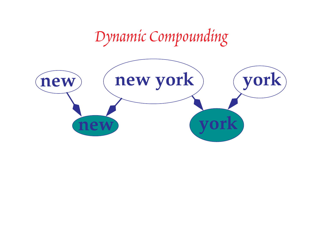Dynamic Compounding